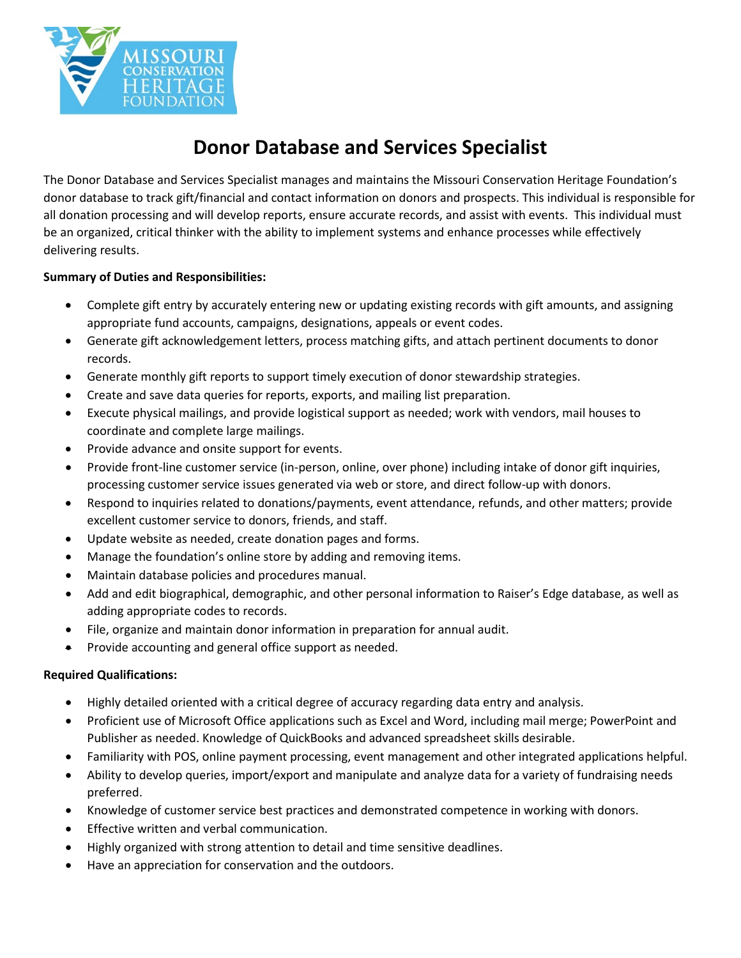

# **Donor Database and Services Specialist**

The Donor Database and Services Specialist manages and maintains the Missouri Conservation Heritage Foundation's donor database to track gift/financial and contact information on donors and prospects. This individual is responsible for all donation processing and will develop reports, ensure accurate records, and assist with events. This individual must be an organized, critical thinker with the ability to implement systems and enhance processes while effectively delivering results.

## **Summary of Duties and Responsibilities:**

- Complete gift entry by accurately entering new or updating existing records with gift amounts, and assigning appropriate fund accounts, campaigns, designations, appeals or event codes.
- Generate gift acknowledgement letters, process matching gifts, and attach pertinent documents to donor records.
- Generate monthly gift reports to support timely execution of donor stewardship strategies.
- Create and save data queries for reports, exports, and mailing list preparation.
- Execute physical mailings, and provide logistical support as needed; work with vendors, mail houses to coordinate and complete large mailings.
- Provide advance and onsite support for events.
- Provide front-line customer service (in-person, online, over phone) including intake of donor gift inquiries, processing customer service issues generated via web or store, and direct follow-up with donors.
- Respond to inquiries related to donations/payments, event attendance, refunds, and other matters; provide excellent customer service to donors, friends, and staff.
- Update website as needed, create donation pages and forms.
- Manage the foundation's online store by adding and removing items.
- Maintain database policies and procedures manual.
- Add and edit biographical, demographic, and other personal information to Raiser's Edge database, as well as adding appropriate codes to records.
- File, organize and maintain donor information in preparation for annual audit.
- Provide accounting and general office support as needed.

### **Required Qualifications:**

- Highly detailed oriented with a critical degree of accuracy regarding data entry and analysis.
- Proficient use of Microsoft Office applications such as Excel and Word, including mail merge; PowerPoint and Publisher as needed. Knowledge of QuickBooks and advanced spreadsheet skills desirable.
- Familiarity with POS, online payment processing, event management and other integrated applications helpful.
- Ability to develop queries, import/export and manipulate and analyze data for a variety of fundraising needs preferred.
- Knowledge of customer service best practices and demonstrated competence in working with donors.
- Effective written and verbal communication.
- Highly organized with strong attention to detail and time sensitive deadlines.
- Have an appreciation for conservation and the outdoors.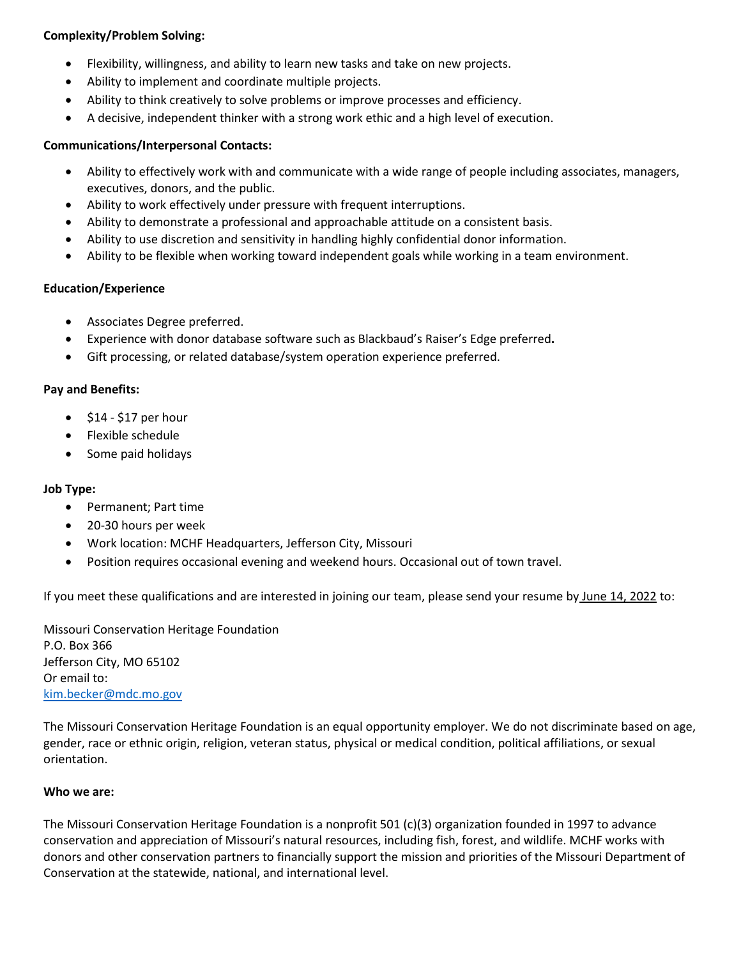#### **Complexity/Problem Solving:**

- Flexibility, willingness, and ability to learn new tasks and take on new projects.
- Ability to implement and coordinate multiple projects.
- Ability to think creatively to solve problems or improve processes and efficiency.
- A decisive, independent thinker with a strong work ethic and a high level of execution.

#### **Communications/Interpersonal Contacts:**

- Ability to effectively work with and communicate with a wide range of people including associates, managers, executives, donors, and the public.
- Ability to work effectively under pressure with frequent interruptions.
- Ability to demonstrate a professional and approachable attitude on a consistent basis.
- Ability to use discretion and sensitivity in handling highly confidential donor information.
- Ability to be flexible when working toward independent goals while working in a team environment.

#### **Education/Experience**

- Associates Degree preferred.
- Experience with donor database software such as Blackbaud's Raiser's Edge preferred**.**
- Gift processing, or related database/system operation experience preferred.

#### **Pay and Benefits:**

- $\bullet$  \$14 \$17 per hour
- Flexible schedule
- Some paid holidays

#### **Job Type:**

- Permanent; Part time
- 20-30 hours per week
- Work location: MCHF Headquarters, Jefferson City, Missouri
- Position requires occasional evening and weekend hours. Occasional out of town travel.

If you meet these qualifications and are interested in joining our team, please send your resume by June 14, 2022 to:

Missouri Conservation Heritage Foundation P.O. Box 366 Jefferson City, MO 65102 Or email to: [kim.becker@mdc.mo.gov](mailto:kim.becker@mdc.mo.gov) 

The Missouri Conservation Heritage Foundation is an equal opportunity employer. We do not discriminate based on age, gender, race or ethnic origin, religion, veteran status, physical or medical condition, political affiliations, or sexual orientation.

#### **Who we are:**

The Missouri Conservation Heritage Foundation is a nonprofit 501 (c)(3) organization founded in 1997 to advance conservation and appreciation of Missouri's natural resources, including fish, forest, and wildlife. MCHF works with donors and other conservation partners to financially support the mission and priorities of the Missouri Department of Conservation at the statewide, national, and international level.